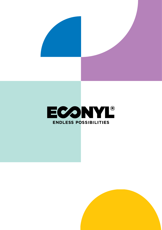



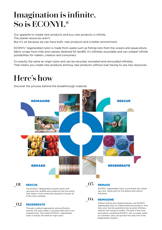# **Imagination is infinite. So is ECONYL®**

Our appetite to create new products and buy new products is infinite. The planet resources aren't.

But it's ok because we can have both: new products and a better environment.

ECONYL® regenerated nylon is made from waste such as fishing nets from the oceans and aquaculture, fabric scraps from mills and carpets destined for landfill, it's infinitely recyclable and can unleash infinite possibilities for makers, creators and consumers.

It's exactly the same as virgin nylon and can be recycled, recreated and remoulded infinitely. That means you create new products and buy new products without ever having to use new resources.

## **Here's how**

Discover the process behind the breakthrough material.



#### RESCUE **\_01**

The ECONYL® Regeneration System starts with rescuing from landfills and oceans all over the world. That waste is then sorted and cleaned to recover all of the nylon possible.

#### REGENERATE **\_02**

Through a radical regeneration and purification process, the nylon waste is recycled right back to its original purity. That means ECONYL® regenerated nylon is exactly the same as virgin nylon.

**\_03**

### **REMAKE**

ECONYL® regenerated nylon is processed into carpet yarn and textile yarn for the fashion and interior industries.

#### REIMAGINE **\_04**

Fashion brands and carpet producers use ECONYL® regenerated nylon to create brand new products. And that nylon has the potential to be recycled infinitely, without ever losing its quality. The goal is that once all products containing ECONYL® are no longer useful to customers, they can go back into step one of the Regeneration System.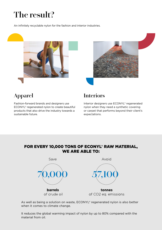# **The result?**

An infinitely recyclable nylon for the fashion and interior industries.





## **Apparel**

Fashion-forward brands and designers use ECONYL® regenerated nylon to create beautiful products that also drive the industry towards a sustainable future.

### **Interiors**

Interior designers use ECONYL® regenerated nylon when they need a synthetic covering or carpet that performs beyond their client's expectations.

### FOR EVERY 10,000 TONS OF ECONYL® RAW MATERIAL, WE ARE ABLE TO:



As well as being a solution on waste, ECONYL® regenerated nylon is also better when it comes to climate change.

It reduces the global warming impact of nylon by up to 80% compared with the material from oil.